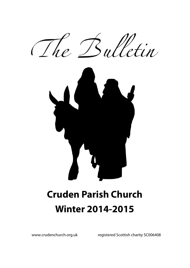



# **Cruden Parish Church Winter 2014-2015**

www.crudenchurch.org.uk registered Scottish charity SC006408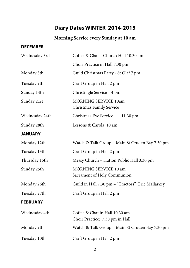# **Diary Dates WINTER 2014-2015**

#### **Morning Service every Sunday at 10 am**

#### **DECEMBER**

| Wednesday 3rd   | Coffee & Chat - Church Hall 10.30 am                              |  |  |
|-----------------|-------------------------------------------------------------------|--|--|
|                 | Choir Practice in Hall 7.30 pm                                    |  |  |
| Monday 8th      | Guild Christmas Party - St Olaf 7 pm                              |  |  |
| Tuesday 9th     | Craft Group in Hall 2 pm                                          |  |  |
| Sunday 14th     | Christingle Service 4 pm                                          |  |  |
| Sunday 21st     | MORNING SERVICE 10am<br>Christmas Family Service                  |  |  |
| Wednesday 24th  | Christmas Eve Service<br>11.30 pm                                 |  |  |
| Sunday 28th     | Lessons & Carols 10 am                                            |  |  |
| <b>JANUARY</b>  |                                                                   |  |  |
| Monday 12th     | Watch & Talk Group - Main St Cruden Bay 7.30 pm                   |  |  |
| Tuesday 13th    | Craft Group in Hall 2 pm                                          |  |  |
| Thursday 15th   | Messy Church - Hatton Public Hall 3.30 pm                         |  |  |
| Sunday 25th     | MORNING SERVICE 10 am<br>Sacrament of Holy Communion              |  |  |
| Monday 26th     | Guild in Hall 7.30 pm - "Tractors" Eric Mallarkey                 |  |  |
| Tuesday 27th    | Craft Group in Hall 2 pm                                          |  |  |
| <b>FEBRUARY</b> |                                                                   |  |  |
| Wednesday 4th   | Coffee & Chat in Hall 10.30 am<br>Choir Practice: 7.30 pm in Hall |  |  |
| Monday 9th      | Watch & Talk Group - Main St Cruden Bay 7.30 pm                   |  |  |
| Tuesday 10th    | Craft Group in Hall 2 pm                                          |  |  |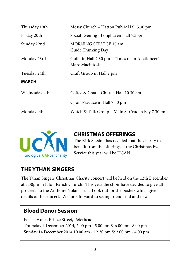| Thursday 19th | Messy Church - Hatton Public Hall 3.30 pm                          |
|---------------|--------------------------------------------------------------------|
| Friday 20th   | Social Evening - Longhaven Hall 7.30pm                             |
| Sunday 22nd   | MORNING SERVICE 10 am<br>Guide Thinking Day                        |
| Monday 23rd   | Guild in Hall 7.30 pm - "Tales of an Auctioneer"<br>Marc Macintosh |
| Tuesday 24th  | Craft Group in Hall 2 pm                                           |
| <b>MARCH</b>  |                                                                    |
| Wednesday 4th | Coffee & Chat - Church Hall 10.30 am                               |
|               | Choir Practice in Hall 7.30 pm                                     |
| Monday 9th    | Watch & Talk Group - Main St Cruden Bay 7.30 pm                    |



#### **CHRISTMAS OFFERINGS**

The Kirk Session has decided that the charity to benefit from the offerings at the Christmas Eve Service this year will be UCAN

#### **THE YTHAN SINGERS**

The Ythan Singers Christmas Charity concert will be held on the 12th December at 7.30pm in Ellon Parish Church. This year the choir have decided to give all proceeds to the Anthony Nolan Trust. Look out for the posters which give details of the concert. We look forward to seeing friends old and new.

#### **Blood Donor Session**

Palace Hotel, Prince Street, Peterhead Thursday 4 December 2014, 2.00 pm - 5.00 pm & 6.00 pm -8.00 pm Sunday 14 December 2014 10.00 am - 12.30 pm & 2.00 pm - 4.00 pm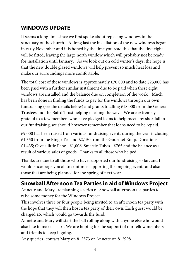## **WINDOWS UPDATE**

It seems a long time since we first spoke about replacing windows in the sanctuary of the church. At long last the installation of the new windows began in early November and it is hoped by the time you read this that the first eight will be fitted, leaving the large north window which will probably not be ready for installation until January. As we look out on cold winter's days, the hope is that the new double glazed windows will help prevent so much heat loss and make our surroundings more comfortable.

The total cost of these windows is approximately  $£70,000$  and to date  $£23,000$  has been paid with a further similar instalment due to be paid when these eight windows are installed and the balance due on completion of the work. Much has been done in finding the funds to pay for the windows through our own fundraising (see the details below) and grants totalling £18,000 from the General Trustees and the Baird Trust helping us along the way. We are extremely grateful to a few members who have pledged loans to help meet any shortfall in our fundraising, we should however remember that loans need to be repaid.

£9,000 has been raised from various fundraising events during the year including £1,350 from the Bingo Tea and £2,150 from the Gourmet Roup. Donations - £1,435; Give a little Pane - £1,006; Smartie Tubes - £765 and the balance as a result of various sales of goods. Thanks to all those who helped.

Thanks are due to all those who have supported our fundraising so far, and I would encourage you all to continue supporting the ongoing events and also those that are being planned for the spring of next year.

## **Snowball Afternoon Tea Parties in aid of Windows Project**

Annette and Mary are planning a series of' Snowball afternoon tea parties to raise some money for the Windows Project.

This involves three or four people being invited to an afternoon tea party with the hope that they will then host a tea party of their own. Each guest would be charged £5, which would go towards the fund.

Annette and Mary will start the ball rolling along with anyone else who would also like to make a start. We are hoping for the support of our fellow members and friends to keep it going.

Any queries -contact Mary on 812573 or Annette on 812998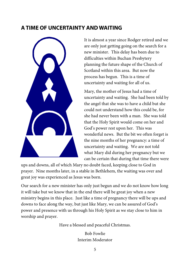#### **A TIME OF UNCERTAINTY AND WAITING**



It is almost a year since Rodger retired and we are only just getting going on the search for a new minister. This delay has been due to difficulties within Buchan Presbytery planning the future shape of the Church of Scotland within this area. But now the process has begun. This is a time of uncertainty and waiting for all of us.

Mary, the mother of Jesus had a time of uncertainty and waiting. She had been told by the angel that she was to have a child but she could not understand how this could be, for she had never been with a man. She was told that the Holy Spirit would come on her and God's power rest upon her. This was wonderful news. But the bit we often forget is the nine months of her pregnancy: a time of uncertainty and waiting. We are not told what Mary did during her pregnancy but we can be certain that during that time there were

ups and downs, all of which Mary no doubt faced, keeping close to God in prayer. Nine months later, in a stable in Bethlehem, the waiting was over and great joy was experienced as Jesus was born.

Our search for a new minister has only just begun and we do not know how long it will take but we know that in the end there will be great joy when a new ministry begins in this place. Just like a time of pregnancy there will be ups and downs to face along the way, but just like Mary, we can be assured of God's power and presence with us through his Holy Spirit as we stay close to him in worship and prayer.

Have a blessed and peaceful Christmas.

Bob Fowlie Interim Moderator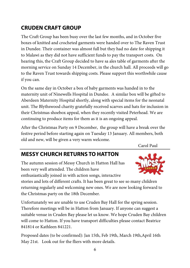# **CRUDEN CRAFT GROUP**

The Craft Group has been busy over the last few months, and in October five boxes of knitted and crocheted garments were handed over to The Raven Trust in Dundee. Their container was almost full but they had no date for shipping it to Malawi as they did not have sufficient funds to pay the transport costs. On hearing this, the Craft Group decided to have sa ales table of garments after the morning service on Sunday 14 December, in the church hall. All proceeds will go to the Raven Trust towards shipping costs. Please support this worthwhile cause if you can.

On the same day in October a box of baby garments was handed in to the maternity unit of Ninewells Hospital in Dundee. A similar box will be gifted to Aberdeen Maternity Hospital shortly, along with special items for the neonatal unit. The Blythswood charity gratefully received scarves and hats for inclusion in their Christmas shoebox appeal, when they recently visited Peterhead. We are continuing to produce items for them as it is an ongoing appeal.

After the Christmas Party on 9 December, the group will have a break over the festive period before starting again on Tuesday 13 January. All members, both old and new, will be given a very warm welcome.

Carol Paul

# **MESSY CHURCH RETURNS TO HATTON**

The autumn session of Messy Church in Hatton Hall has been very well attended. The children have enthusiastically joined in with action songs, interactive



stories and lots of different crafts. It has been great to see so many children returning regularly and welcoming new ones. We are now looking forward to the Christmas party on the 18th December.

Unfortunately we are unable to use Cruden Bay Hall for the spring session. Therefore meetings will be in Hatton from January. If anyone can suggest a suitable venue in Cruden Bay please let us know. We hope Cruden Bay children will come to Hatton. If you have transport difficulties please contact Beatrice 841814 or Kathleen 841221.

Proposed dates (to be confirmed): Jan 15th, Feb 19th, March 19th,April 16th May 21st. Look out for the fliers with more details.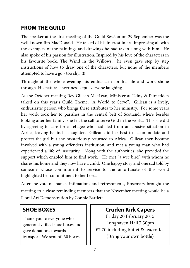## **FROM THE GUILD**

The speaker at the first meeting of the Guild Session on 29 September was the well known Jim MacDonald. He talked of his interest in art, impressing all with the examples of the paintings and drawings he had taken along with him. He also spoke of his passion for illustration. Inspired by his love of the characters in his favourite book, The Wind in the Willows, he even gave step by step instructions of how to draw one of the characters, but none of the members attempted to have a go - too shy.!!!!!

Throughout the whole evening his enthusiasm for his life and work shone through. His natural cheeriness kept everyone laughing.

At the October meeting Rev Gillean MacLean, Minister at Udny & Pitmedden talked on this year's Guild Theme, "A World to Serve". Gillean is a lively, enthusiastic person who brings these attributes to her ministry. For some years her work took her to parishes in the central belt of Scotland, where besides looking after her family, she felt the call to serve God in the world. This she did by agreeing to care for a refugee who had fled from an abusive situation in Africa, leaving behind a daughter. Gillean did her best to accommodate and protect the girl but she mysteriously returned to Africa. Gillean then became involved with a young offenders institution, and met a young man who had experienced a life of insecurity. Along with the authorities, she provided the support which enabled him to find work. He met "a wee bird" with whom he shares his home and they now have a child. One happy story and one sad told by someone whose commitment to service to the unfortunate of this world highlighted her commitment to her Lord.

After the vote of thanks, intimations and refreshments, Rosemary brought the meeting to a close reminding members that the November meeting would be a Floral Art Demonstration by Connie Bartlett.

## **SHOE BOXES**

Thank you to everyone who generously filled shoe boxes and gave donations towards transport. We sent off 30 boxes.

# **Cruden Kirk Capers**

Friday 20 February 2015 Longhaven Hall 7.30pm £7.70 including buffet & tea/coffee (Bring your own bottle)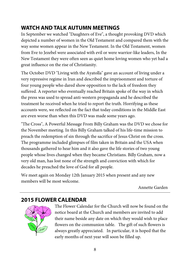# **WATCH AND TALK AUTUMN MEETINGS**

In September we watched "Daughters of Eve", a thought provoking DVD which depicted a number of women in the Old Testament and compared them with the way some women appear in the New Testament. In the Old Testament, women from Eve to Jezebel were associated with evil or were warrior-like leaders, In the New Testament they were often seen as quiet home loving women who yet had a great influence on the rise of Christianity.

The October DVD "Living with the Ayatolla" gave an account of living under a very repressive regime in Iran and described the imprisonment and torture of four young people who dared show opposition to the lack of freedom they suffered. A reporter who eventually reached Britain spoke of the way in which the press was used to spread anti-western propaganda and he described the treatment he received when he tried to report the truth. Horrifying as these accounts were, we reflected on the fact that today conditions in the Middle East are even worse than when this DVD was made some years ago.

"The Cross", A Powerful Message From Billy Graham was the DVD we chose for the November meeting. In this Billy Graham talked of his life-time mission to preach the redemption of sin through the sacrifice of Jesus Christ on the cross. The programme included glimpses of film taken in Britain and the USA when thousands gathered to hear him and it also gave the life stories of two young people whose lives changed when they became Christians. Billy Graham, now a very old man, has lost none of the strength and conviction with which for decades he preached the love of God for all people.

We meet again on Monday 12th January 2015 when present and any new members will be most welcome.

Annette Garden

# **2015 FLOWER CALENDAR**



The Flower Calendar for the Church will now be found on the notice board at the Church and members are invited to add their name beside any date on which they would wish to place flowers on the communion table. The gift of such flowers is always greatly appreciated. In particular, it is hoped that the early months of next year will soon be filled up.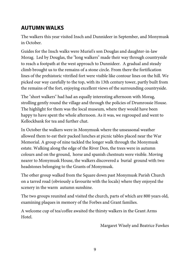# **AUTUMN WALKS**

The walkers this year visited Insch and Dunnideer in September, and Monymusk in October.

Guides for the Insch walks were Muriel's son Douglas and daughter-in-law Morag. Led by Douglas, the "long walkers" made their way through countryside to reach a footpath at the west approach to Dunnideer. A gradual and steady climb brought us to the remains of a stone circle. From there the fortification lines of the prehistoric vitrified fort were visible like contour lines on the hill. We picked our way carefully to the top, with its 13th century tower, partly built from the remains of the fort, enjoying excellent views of the surrounding countryside.

The "short walkers" had had an equally interesting afternoon with Morag, strolling gently round the village and through the policies of Drumrossie House. The highlight for them was the local museum, where they would have been happy to have spent the whole afternoon. As it was, we regrouped and went to Kellockbank for tea and further chat.

In October the walkers were in Monymusk where the unseasonal weather allowed them to eat their packed lunches at picnic tables placed near the War Memorial. A group of nine tackled the longer walk through the Monymusk estate. Walking along the edge of the River Don, the trees were in autumn colours and on the ground, horse and spanish chestnuts were visible. Moving nearer to Monymusk House, the walkers discovered a burial ground with two headstones belonging to the Grants of Monymusk.

The other group walked from the Square down past Monymusk Parish Church on a tarred road (obviously a favourite with the locals) where they enjoyed the scenery in the warm autumn sunshine.

The two groups reunited and visited the church, parts of which are 800 years old, examining plaques in memory of the Forbes and Grant families.

A welcome cup of tea/coffee awaited the thirsty walkers in the Grant Arms Hotel.

Margaret Wisely and Beatrice Fawkes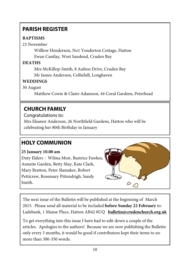# **PARISH REGISTER**

#### **BAPTISMS**

23 November

 Willlow Henderson, No1 Yonderton Cottage, Hatton Ewan Cantlay, West Sandend, Cruden Bay

#### **DEATHS**

 Mrs McKillop-Smith, 8 Aulton Drive, Cruden Bay Mr James Anderson, Colliehill, Longhaven

#### **WEDDINGS**

30 August

Matthew Cowie & Claire Adamson, 44 Coral Gardens, Peterhead

# **CHURCH FAMILY**

Congratulations to:

Mrs Eleanor Anderson, 26 Northfield Gardens, Hatton who will be celebrating her 80th Birthday in January

# **HOLY COMMUNION**

#### **25 January 10.00 am**

Duty Elders :Wilma Moir, Beatrice Fawkes, Annette Garden, Betty May, Kate Clark, Mary Bratton, Peter Slamaker, Robert Petticrew, Rosemary Pittendrigh, Sandy Smith.



The next issue of the Bulletin will be published at the beginning of March 2015. Please send all material to be included **before Sunday 22 February** to: Ladebank, 1 Manse Place, Hatton AB42 0UQ **bulletin@crudenchurch.org.uk**

To get everything into this issue I have had to edit down a couple of the articles. Apologies to the authors! Because we are now publishing the Bulletin only every 3 months, it would be good if contributors kept their items to no more than 300-350 words.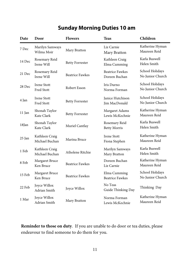# **Sunday Morning Duties 10 am**

| Date     | Door                             | <b>Flowers</b>         | <b>Teas</b>                             | Children                            |
|----------|----------------------------------|------------------------|-----------------------------------------|-------------------------------------|
| 7 Dec    | Marilyn Samways<br>Wilma Moir    | Mary Bratton           | Liz Carnie<br>Mary Bratton              | Katherine Hyman<br>Maureen Reid     |
| 14 Dec   | Rosemary Reid<br>Irene Will      | <b>Betty Forrester</b> | Kathleen Craig<br>Elma Cumming          | Karla Buswell<br>Helen Smith        |
| 21 Dec   | Rosemary Reid<br>Irene Will      | <b>Beatrice Fawkes</b> | <b>Beatrice Fawkes</b><br>Doreen Buchan | School Holidays<br>No Junior Church |
| 28 Dec   | <b>Irene Stott</b><br>Fred Stott | Robert Esson           | Iris Durno<br>Norma Forman              | School Holidays<br>No Junior Church |
| 4 Jan    | <b>Irene Stott</b><br>Fred Stott | <b>Betty Forrester</b> | Janice Hutchison<br>Jim MacDonald       | School Holidays<br>No Junior Church |
| 11 Jan   | Shonah Taylor<br>Kate Clark      | <b>Betty Forrester</b> | Margaret Adams<br>Lewis McKechnie       | Katherine Hyman<br>Maureen Reid     |
| $18$ Jan | Shonah Taylor<br>Kate Clark      | Muriel Cantlay         | Rosemary Reid<br><b>Betty Morris</b>    | Karla Buswell<br>Helen Smith        |
| 25 Jan   | Kathleen Craig<br>Michael Buchan | Marina Bruce           | <b>Irene Stott</b><br>Fiona Stephen     | Katherine Hyman<br>Maureen Reid     |
| 1 Feb    | Kathleen Craig<br>Michael Buchan | Atholene Ritchie       | Marilyn Samways<br>Mary Bratton         | Karla Buswell<br>Helen Smith        |
| 8 Feb    | Margaret Bruce<br>Ken Bruce      | <b>Beatrice Fawkes</b> | Doreen Buchan<br>Liz Carnie             | Katherine Hyman<br>Maureen Reid     |
| 15 Feb   | Margaret Bruce<br>Ken Bruce      | <b>Beatrice Fawkes</b> | Elma Cumming<br><b>Beatrice Fawkes</b>  | School Holidays<br>No Junior Church |
| 22 Feb   | Joyce Willox<br>Adrian Smith     | Joyce Willox           | No Teas<br>Guide Thinking Day           | Thinking Day                        |
| 1 Mar    | Joyce Willox<br>Adrian Smith     | Mary Bratton           | Norma Forman<br>Lewis McKechnie         | Katherine Hyman<br>Maureen Reid     |

**Reminder to those on duty**. If you are unable to do door or tea duties, please endeavour to find someone to do them for you.